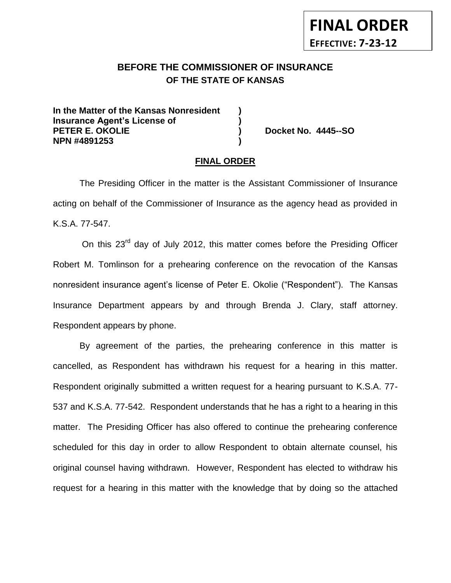# **BEFORE THE COMMISSIONER OF INSURANCE** *-12***OF THE STATE OF KANSAS**

**In the Matter of the Kansas Nonresident ) Insurance Agent's License of ) PETER E. OKOLIE ) Docket No. 4445--SO NPN #4891253 )**

**FINAL ORDER**

**EFFECTIVE: 7-23-12**

#### **FINAL ORDER**

The Presiding Officer in the matter is the Assistant Commissioner of Insurance acting on behalf of the Commissioner of Insurance as the agency head as provided in K.S.A. 77-547.

On this 23<sup>rd</sup> day of July 2012, this matter comes before the Presiding Officer Robert M. Tomlinson for a prehearing conference on the revocation of the Kansas nonresident insurance agent's license of Peter E. Okolie ("Respondent"). The Kansas Insurance Department appears by and through Brenda J. Clary, staff attorney. Respondent appears by phone.

By agreement of the parties, the prehearing conference in this matter is cancelled, as Respondent has withdrawn his request for a hearing in this matter. Respondent originally submitted a written request for a hearing pursuant to K.S.A. 77- 537 and K.S.A. 77-542. Respondent understands that he has a right to a hearing in this matter. The Presiding Officer has also offered to continue the prehearing conference scheduled for this day in order to allow Respondent to obtain alternate counsel, his original counsel having withdrawn. However, Respondent has elected to withdraw his request for a hearing in this matter with the knowledge that by doing so the attached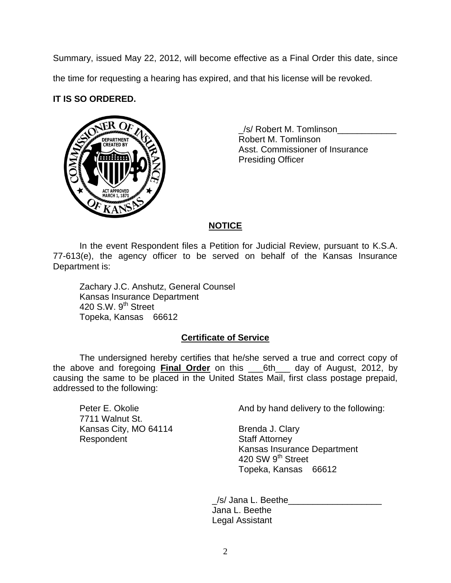Summary, issued May 22, 2012, will become effective as a Final Order this date, since the time for requesting a hearing has expired, and that his license will be revoked.

### **IT IS SO ORDERED.**



\_ \_/s/ Robert M. Tomlinson\_\_\_\_\_\_\_\_\_\_\_\_ Robert M. Tomlinson Asst. Commissioner of Insurance Presiding Officer

### **NOTICE**

In the event Respondent files a Petition for Judicial Review, pursuant to K.S.A. 77-613(e), the agency officer to be served on behalf of the Kansas Insurance Department is:

Zachary J.C. Anshutz, General Counsel Kansas Insurance Department 420 S.W.  $9<sup>th</sup>$  Street Topeka, Kansas 66612

### **Certificate of Service**

The undersigned hereby certifies that he/she served a true and correct copy of the above and foregoing **Final Order** on this \_\_\_6th\_\_\_ day of August, 2012, by causing the same to be placed in the United States Mail, first class postage prepaid, addressed to the following:

7711 Walnut St. Kansas City, MO 64114 Brenda J. Clary Respondent **Staff Attorney** 

Peter E. Okolie **And by hand delivery to the following:** 

Kansas Insurance Department 420 SW 9<sup>th</sup> Street Topeka, Kansas 66612

\_/s/ Jana L. Beethe\_\_\_\_\_\_\_\_\_\_\_\_\_\_\_\_\_\_\_ Jana L. Beethe Legal Assistant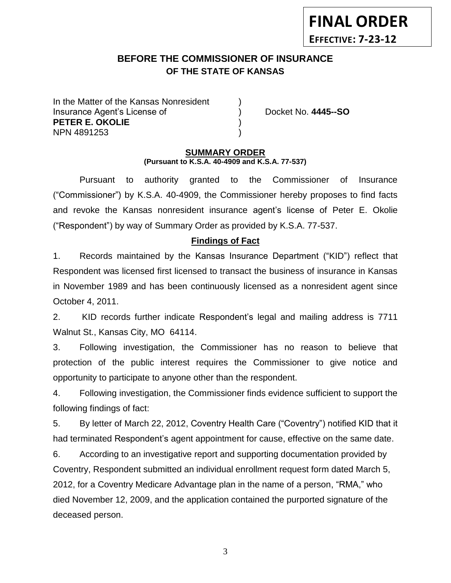# **BEFORE THE COMMISSIONER OF INSURANCE** *-12***OF THE STATE OF KANSAS**

In the Matter of the Kansas Nonresident Insurance Agent's License of ) Docket No. **4445--SO PETER E. OKOLIE** ) NPN 4891253 )

**FINAL ORDER**

**EFFECTIVE: 7-23-12**

#### **SUMMARY ORDER**

**(Pursuant to K.S.A. 40-4909 and K.S.A. 77-537)**

Pursuant to authority granted to the Commissioner of Insurance ("Commissioner") by K.S.A. 40-4909, the Commissioner hereby proposes to find facts and revoke the Kansas nonresident insurance agent's license of Peter E. Okolie ("Respondent") by way of Summary Order as provided by K.S.A. 77-537.

#### **Findings of Fact**

1. Records maintained by the Kansas Insurance Department ("KID") reflect that Respondent was licensed first licensed to transact the business of insurance in Kansas in November 1989 and has been continuously licensed as a nonresident agent since October 4, 2011.

2. KID records further indicate Respondent's legal and mailing address is 7711 Walnut St., Kansas City, MO 64114.

3. Following investigation, the Commissioner has no reason to believe that protection of the public interest requires the Commissioner to give notice and opportunity to participate to anyone other than the respondent.

4. Following investigation, the Commissioner finds evidence sufficient to support the following findings of fact:

5. By letter of March 22, 2012, Coventry Health Care ("Coventry") notified KID that it had terminated Respondent's agent appointment for cause, effective on the same date.

6. According to an investigative report and supporting documentation provided by Coventry, Respondent submitted an individual enrollment request form dated March 5, 2012, for a Coventry Medicare Advantage plan in the name of a person, "RMA," who died November 12, 2009, and the application contained the purported signature of the deceased person.

3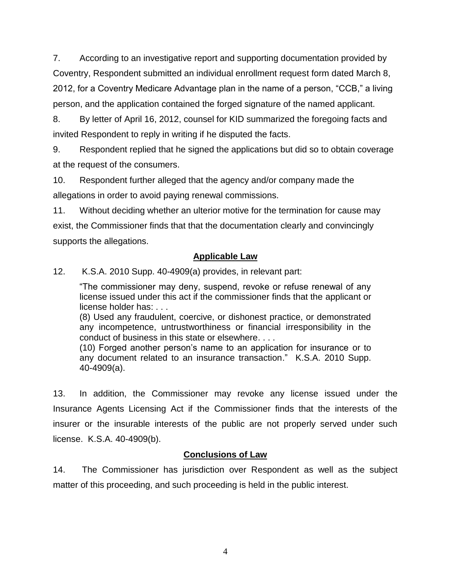7. According to an investigative report and supporting documentation provided by Coventry, Respondent submitted an individual enrollment request form dated March 8, 2012, for a Coventry Medicare Advantage plan in the name of a person, "CCB," a living person, and the application contained the forged signature of the named applicant.

8. By letter of April 16, 2012, counsel for KID summarized the foregoing facts and invited Respondent to reply in writing if he disputed the facts.

9. Respondent replied that he signed the applications but did so to obtain coverage at the request of the consumers.

10. Respondent further alleged that the agency and/or company made the allegations in order to avoid paying renewal commissions.

11. Without deciding whether an ulterior motive for the termination for cause may exist, the Commissioner finds that that the documentation clearly and convincingly supports the allegations.

### **Applicable Law**

12. K.S.A. 2010 Supp. 40-4909(a) provides, in relevant part:

"The commissioner may deny, suspend, revoke or refuse renewal of any license issued under this act if the commissioner finds that the applicant or license holder has: . . .

(8) Used any fraudulent, coercive, or dishonest practice, or demonstrated any incompetence, untrustworthiness or financial irresponsibility in the conduct of business in this state or elsewhere. . . .

(10) Forged another person's name to an application for insurance or to any document related to an insurance transaction." K.S.A. 2010 Supp. 40-4909(a).

13. In addition, the Commissioner may revoke any license issued under the Insurance Agents Licensing Act if the Commissioner finds that the interests of the insurer or the insurable interests of the public are not properly served under such license. K.S.A. 40-4909(b).

## **Conclusions of Law**

14. The Commissioner has jurisdiction over Respondent as well as the subject matter of this proceeding, and such proceeding is held in the public interest.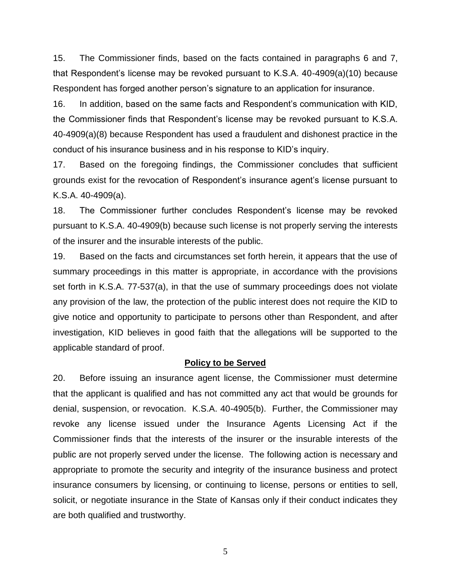15. The Commissioner finds, based on the facts contained in paragraphs 6 and 7, that Respondent's license may be revoked pursuant to K.S.A. 40-4909(a)(10) because Respondent has forged another person's signature to an application for insurance.

16. In addition, based on the same facts and Respondent's communication with KID, the Commissioner finds that Respondent's license may be revoked pursuant to K.S.A. 40-4909(a)(8) because Respondent has used a fraudulent and dishonest practice in the conduct of his insurance business and in his response to KID's inquiry.

17. Based on the foregoing findings, the Commissioner concludes that sufficient grounds exist for the revocation of Respondent's insurance agent's license pursuant to K.S.A. 40-4909(a).

18. The Commissioner further concludes Respondent's license may be revoked pursuant to K.S.A. 40-4909(b) because such license is not properly serving the interests of the insurer and the insurable interests of the public.

19. Based on the facts and circumstances set forth herein, it appears that the use of summary proceedings in this matter is appropriate, in accordance with the provisions set forth in K.S.A. 77-537(a), in that the use of summary proceedings does not violate any provision of the law, the protection of the public interest does not require the KID to give notice and opportunity to participate to persons other than Respondent, and after investigation, KID believes in good faith that the allegations will be supported to the applicable standard of proof.

#### **Policy to be Served**

20. Before issuing an insurance agent license, the Commissioner must determine that the applicant is qualified and has not committed any act that would be grounds for denial, suspension, or revocation. K.S.A. 40-4905(b). Further, the Commissioner may revoke any license issued under the Insurance Agents Licensing Act if the Commissioner finds that the interests of the insurer or the insurable interests of the public are not properly served under the license. The following action is necessary and appropriate to promote the security and integrity of the insurance business and protect insurance consumers by licensing, or continuing to license, persons or entities to sell, solicit, or negotiate insurance in the State of Kansas only if their conduct indicates they are both qualified and trustworthy.

5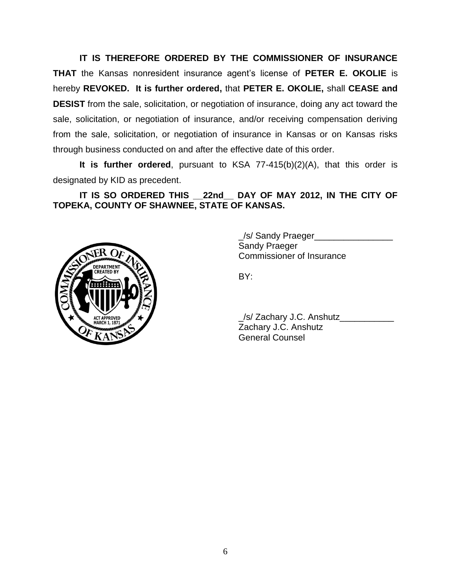**IT IS THEREFORE ORDERED BY THE COMMISSIONER OF INSURANCE THAT** the Kansas nonresident insurance agent's license of **PETER E. OKOLIE** is hereby **REVOKED. It is further ordered,** that **PETER E. OKOLIE,** shall **CEASE and DESIST** from the sale, solicitation, or negotiation of insurance, doing any act toward the sale, solicitation, or negotiation of insurance, and/or receiving compensation deriving from the sale, solicitation, or negotiation of insurance in Kansas or on Kansas risks through business conducted on and after the effective date of this order.

**It is further ordered**, pursuant to KSA 77-415(b)(2)(A), that this order is designated by KID as precedent.

**IT IS SO ORDERED THIS \_\_22nd\_\_ DAY OF MAY 2012, IN THE CITY OF TOPEKA, COUNTY OF SHAWNEE, STATE OF KANSAS.**



\_/s/ Sandy Praeger\_\_\_\_\_\_\_\_\_\_\_\_\_\_\_\_ Sandy Praeger Commissioner of Insurance

BY:

\_/s/ Zachary J.C. Anshutz\_\_\_\_\_\_\_\_\_\_\_ Zachary J.C. Anshutz General Counsel